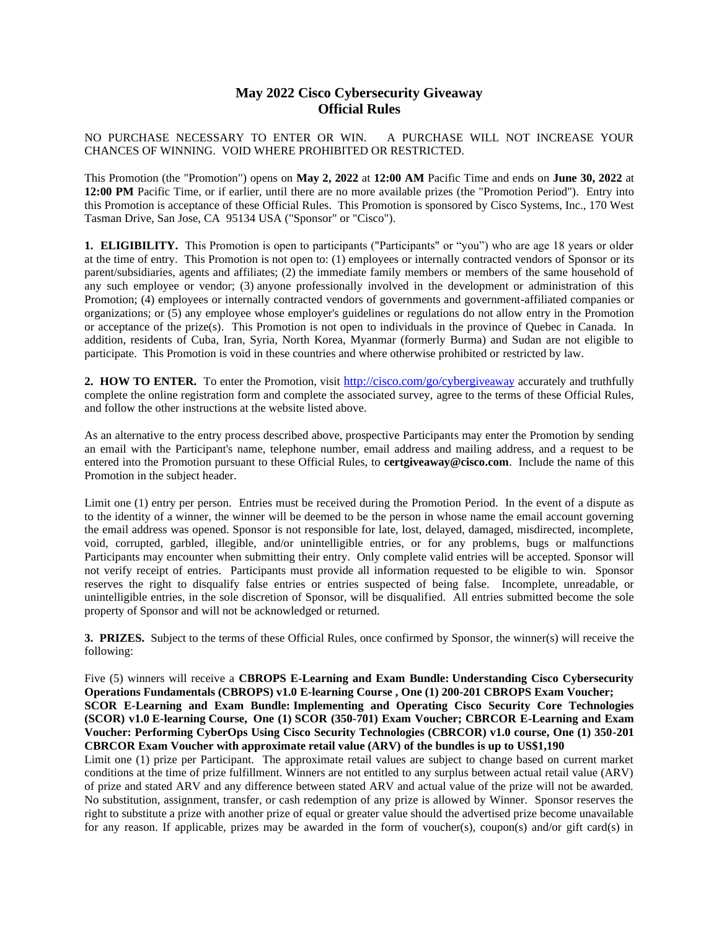## **May 2022 Cisco Cybersecurity Giveaway Official Rules**

NO PURCHASE NECESSARY TO ENTER OR WIN. A PURCHASE WILL NOT INCREASE YOUR CHANCES OF WINNING. VOID WHERE PROHIBITED OR RESTRICTED.

This Promotion (the "Promotion") opens on **May 2, 2022** at **12:00 AM** Pacific Time and ends on **June 30, 2022** at **12:00 PM** Pacific Time, or if earlier, until there are no more available prizes (the "Promotion Period"). Entry into this Promotion is acceptance of these Official Rules. This Promotion is sponsored by Cisco Systems, Inc., 170 West Tasman Drive, San Jose, CA 95134 USA ("Sponsor" or "Cisco").

**1. ELIGIBILITY.** This Promotion is open to participants ("Participants" or "you") who are age 18 years or older at the time of entry. This Promotion is not open to: (1) employees or internally contracted vendors of Sponsor or its parent/subsidiaries, agents and affiliates; (2) the immediate family members or members of the same household of any such employee or vendor; (3) anyone professionally involved in the development or administration of this Promotion; (4) employees or internally contracted vendors of governments and government-affiliated companies or organizations; or (5) any employee whose employer's guidelines or regulations do not allow entry in the Promotion or acceptance of the prize(s). This Promotion is not open to individuals in the province of Quebec in Canada. In addition, residents of Cuba, Iran, Syria, North Korea, Myanmar (formerly Burma) and Sudan are not eligible to participate. This Promotion is void in these countries and where otherwise prohibited or restricted by law.

**2. HOW TO ENTER.** To enter the Promotion, visit [http://cisco.com/go/cyberg](http://cisco.com/go/cybergiveaway)[iveaway](http://cisco.com/go/cybergiveaway) accurately and truthfully complete the online registration form and complete the associated survey, agree to the terms of these Official Rules, and follow the other instructions at the website listed above.

As an alternative to the entry process described above, prospective Participants may enter the Promotion by sending an email with the Participant's name, telephone number, email address and mailing address, and a request to be entered into the Promotion pursuant to these Official Rules, to **certgiveaway@cisco.com**. Include the name of this Promotion in the subject header.

Limit one (1) entry per person. Entries must be received during the Promotion Period. In the event of a dispute as to the identity of a winner, the winner will be deemed to be the person in whose name the email account governing the email address was opened. Sponsor is not responsible for late, lost, delayed, damaged, misdirected, incomplete, void, corrupted, garbled, illegible, and/or unintelligible entries, or for any problems, bugs or malfunctions Participants may encounter when submitting their entry. Only complete valid entries will be accepted. Sponsor will not verify receipt of entries. Participants must provide all information requested to be eligible to win. Sponsor reserves the right to disqualify false entries or entries suspected of being false. Incomplete, unreadable, or unintelligible entries, in the sole discretion of Sponsor, will be disqualified. All entries submitted become the sole property of Sponsor and will not be acknowledged or returned.

**3. PRIZES.** Subject to the terms of these Official Rules, once confirmed by Sponsor, the winner(s) will receive the following:

Five (5) winners will receive a **CBROPS E-Learning and Exam Bundle: Understanding Cisco Cybersecurity Operations Fundamentals (CBROPS) v1.0 E-learning Course , One (1) 200-201 CBROPS Exam Voucher; SCOR E-Learning and Exam Bundle: Implementing and Operating Cisco Security Core Technologies (SCOR) v1.0 E-learning Course, One (1) SCOR (350-701) Exam Voucher; CBRCOR E-Learning and Exam Voucher: Performing CyberOps Using Cisco Security Technologies (CBRCOR) v1.0 course, One (1) 350-201 CBRCOR Exam Voucher with approximate retail value (ARV) of the bundles is up to US\$1,190**

Limit one (1) prize per Participant. The approximate retail values are subject to change based on current market conditions at the time of prize fulfillment. Winners are not entitled to any surplus between actual retail value (ARV) of prize and stated ARV and any difference between stated ARV and actual value of the prize will not be awarded. No substitution, assignment, transfer, or cash redemption of any prize is allowed by Winner. Sponsor reserves the right to substitute a prize with another prize of equal or greater value should the advertised prize become unavailable for any reason. If applicable, prizes may be awarded in the form of voucher(s), coupon(s) and/or gift card(s) in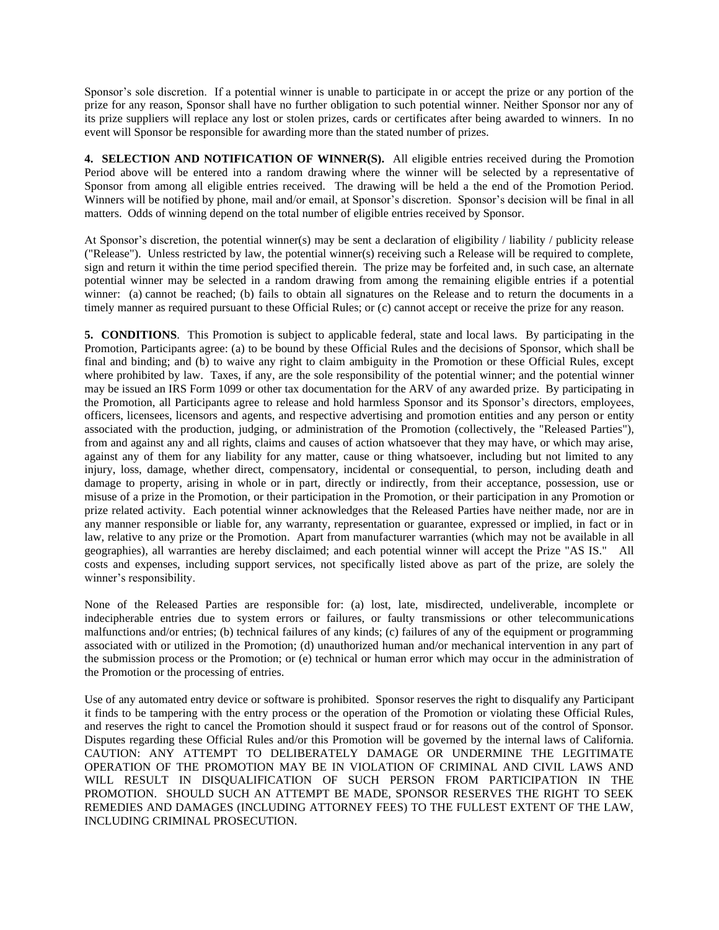Sponsor's sole discretion. If a potential winner is unable to participate in or accept the prize or any portion of the prize for any reason, Sponsor shall have no further obligation to such potential winner. Neither Sponsor nor any of its prize suppliers will replace any lost or stolen prizes, cards or certificates after being awarded to winners. In no event will Sponsor be responsible for awarding more than the stated number of prizes.

**4. SELECTION AND NOTIFICATION OF WINNER(S).** All eligible entries received during the Promotion Period above will be entered into a random drawing where the winner will be selected by a representative of Sponsor from among all eligible entries received. The drawing will be held a the end of the Promotion Period. Winners will be notified by phone, mail and/or email, at Sponsor's discretion. Sponsor's decision will be final in all matters. Odds of winning depend on the total number of eligible entries received by Sponsor.

At Sponsor's discretion, the potential winner(s) may be sent a declaration of eligibility / liability / publicity release ("Release"). Unless restricted by law, the potential winner(s) receiving such a Release will be required to complete, sign and return it within the time period specified therein. The prize may be forfeited and, in such case, an alternate potential winner may be selected in a random drawing from among the remaining eligible entries if a potential winner: (a) cannot be reached; (b) fails to obtain all signatures on the Release and to return the documents in a timely manner as required pursuant to these Official Rules; or (c) cannot accept or receive the prize for any reason.

**5. CONDITIONS**. This Promotion is subject to applicable federal, state and local laws. By participating in the Promotion, Participants agree: (a) to be bound by these Official Rules and the decisions of Sponsor, which shall be final and binding; and (b) to waive any right to claim ambiguity in the Promotion or these Official Rules, except where prohibited by law. Taxes, if any, are the sole responsibility of the potential winner; and the potential winner may be issued an IRS Form 1099 or other tax documentation for the ARV of any awarded prize. By participating in the Promotion, all Participants agree to release and hold harmless Sponsor and its Sponsor's directors, employees, officers, licensees, licensors and agents, and respective advertising and promotion entities and any person or entity associated with the production, judging, or administration of the Promotion (collectively, the "Released Parties"), from and against any and all rights, claims and causes of action whatsoever that they may have, or which may arise, against any of them for any liability for any matter, cause or thing whatsoever, including but not limited to any injury, loss, damage, whether direct, compensatory, incidental or consequential, to person, including death and damage to property, arising in whole or in part, directly or indirectly, from their acceptance, possession, use or misuse of a prize in the Promotion, or their participation in the Promotion, or their participation in any Promotion or prize related activity. Each potential winner acknowledges that the Released Parties have neither made, nor are in any manner responsible or liable for, any warranty, representation or guarantee, expressed or implied, in fact or in law, relative to any prize or the Promotion. Apart from manufacturer warranties (which may not be available in all geographies), all warranties are hereby disclaimed; and each potential winner will accept the Prize "AS IS." All costs and expenses, including support services, not specifically listed above as part of the prize, are solely the winner's responsibility.

None of the Released Parties are responsible for: (a) lost, late, misdirected, undeliverable, incomplete or indecipherable entries due to system errors or failures, or faulty transmissions or other telecommunications malfunctions and/or entries; (b) technical failures of any kinds; (c) failures of any of the equipment or programming associated with or utilized in the Promotion; (d) unauthorized human and/or mechanical intervention in any part of the submission process or the Promotion; or (e) technical or human error which may occur in the administration of the Promotion or the processing of entries.

Use of any automated entry device or software is prohibited. Sponsor reserves the right to disqualify any Participant it finds to be tampering with the entry process or the operation of the Promotion or violating these Official Rules, and reserves the right to cancel the Promotion should it suspect fraud or for reasons out of the control of Sponsor. Disputes regarding these Official Rules and/or this Promotion will be governed by the internal laws of California. CAUTION: ANY ATTEMPT TO DELIBERATELY DAMAGE OR UNDERMINE THE LEGITIMATE OPERATION OF THE PROMOTION MAY BE IN VIOLATION OF CRIMINAL AND CIVIL LAWS AND WILL RESULT IN DISQUALIFICATION OF SUCH PERSON FROM PARTICIPATION IN THE PROMOTION. SHOULD SUCH AN ATTEMPT BE MADE, SPONSOR RESERVES THE RIGHT TO SEEK REMEDIES AND DAMAGES (INCLUDING ATTORNEY FEES) TO THE FULLEST EXTENT OF THE LAW, INCLUDING CRIMINAL PROSECUTION.